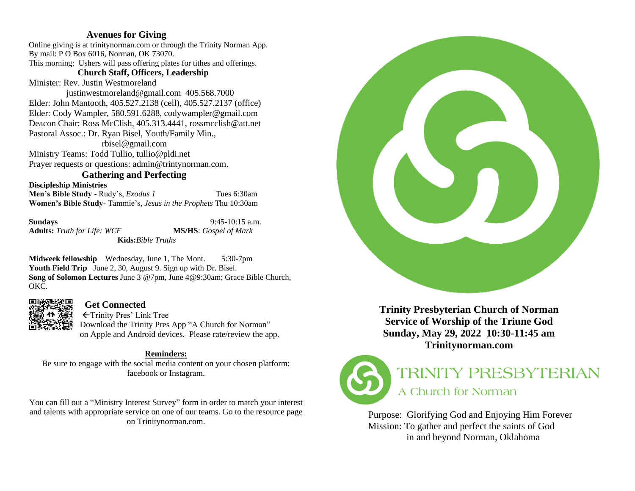# **Avenues for Giving**

Online giving is at trinitynorman.com or through the Trinity Norman App. By mail: P O Box 6016, Norman, OK 73070. This morning: Ushers will pass offering plates for tithes and offerings.

## **Church Staff, Officers, Leadership**

Minister: Rev. Justin Westmoreland

 justinwestmoreland@gmail.com 405.568.7000 Elder: John Mantooth, 405.527.2138 (cell), 405.527.2137 (office) Elder: Cody Wampler, 580.591.6288, codywampler@gmail.com Deacon Chair: Ross McClish, 405.313.4441, rossmcclish@att.net Pastoral Assoc.: Dr. Ryan Bisel, Youth/Family Min.,

 rbisel@gmail.com Ministry Teams: Todd Tullio, tullio@pldi.net Prayer requests or questions: admin@trintynorman.com.

# **Gathering and Perfecting**

**Discipleship Ministries**

**Men's Bible Study** - Rudy's, *Exodus 1* Tues 6:30am **Women's Bible Study**- Tammie's, *Jesus in the Prophets* Thu 10:30am

**Sundays** 9:45-10:15 a.m. **Adults:** *Truth for Life: WCF* **MS/HS**: *Gospel of Mark* **Kids:***Bible Truths*

**Midweek fellowship** Wednesday, June 1, The Mont. 5:30-7pm **Youth Field Trip** June 2, 30, August 9. Sign up with Dr. Bisel. **Song of Solomon Lectures** June 3 @7pm, June 4@9:30am; Grace Bible Church, OKC.



# **Get Connected**

Trinity Pres' Link Tree Download the Trinity Pres App "A Church for Norman" on Apple and Android devices. Please rate/review the app.

# **Reminders:**

Be sure to engage with the social media content on your chosen platform: facebook or Instagram.

You can fill out a "Ministry Interest Survey" form in order to match your interest and talents with appropriate service on one of our teams. Go to the resource page on Trinitynorman.com.



**Trinity Presbyterian Church of Norman Service of Worship of the Triune God Sunday, May 29, 2022 10:30-11:45 am Trinitynorman.com** 



# TRINITY PRESBYTERIAN A Church for Norman

Purpose: Glorifying God and Enjoying Him Forever Mission: To gather and perfect the saints of God in and beyond Norman, Oklahoma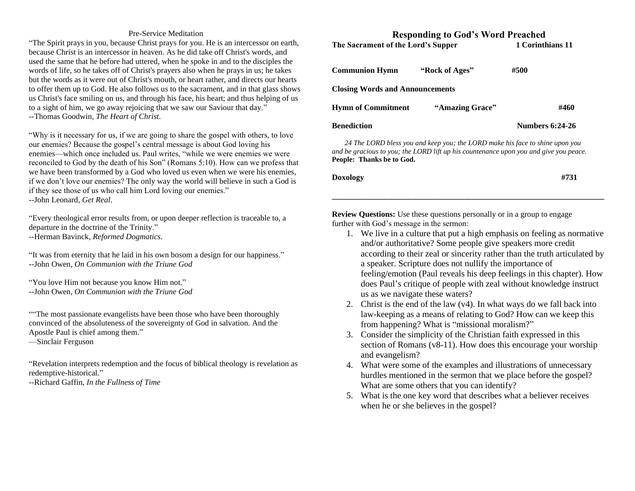#### Pre-Service Meditation

"The Spirit prays in you, because Christ prays for you. He is an intercessor on earth, because Christ is an intercessor in heaven. As he did take off Christ's words, and used the same that he before had uttered, when he spoke in and to the disciples the words of life, so he takes off of Christ's prayers also when he prays in us; he takes but the words as it were out of Christ's mouth, or heart rather, and directs our hearts to offer them up to God. He also follows us to the sacrament, and in that glass shows us Christ's face smiling on us, and through his face, his heart; and thus helping of us to a sight of him, we go away rejoicing that we saw our Saviour that day." --Thomas Goodwin, *The Heart of Christ*.

"Why is it necessary for us, if we are going to share the gospel with others, to love our enemies? Because the gospel's central message is about God loving his enemies—which once included us. Paul writes, "while we were enemies we were reconciled to God by the death of his Son" (Romans 5:10). How can we profess that we have been transformed by a God who loved us even when we were his enemies, if we don't love our enemies? The only way the world will believe in such a God is if they see those of us who call him Lord loving our enemies." --John Leonard, *Get Real*.

"Every theological error results from, or upon deeper reflection is traceable to, a departure in the doctrine of the Trinity." --Herman Bavinck, *Reformed Dogmatics*.

"It was from eternity that he laid in his own bosom a design for our happiness." --John Owen, *On Communion with the Triune God*

"You love Him not because you know Him not." --John Owen, *On Communion with the Triune God*

""The most passionate evangelists have been those who have been thoroughly convinced of the absoluteness of the sovereignty of God in salvation. And the Apostle Paul is chief among them."

—Sinclair Ferguson

"Revelation interprets redemption and the focus of biblical theology is revelation as redemptive-historical."

--Richard Gaffin, *In the Fullness of Time*

# **Responding to God's Word Preached** The Sacrament of the Lord's Supper 1 Corinthians 11 **Communion Hymn "Rock of Ages" #500 Closing Words and Announcements Hymn of Commitment** "Amazing Grace" #460

# **Benediction Numbers 6:24-26**

 *24 The LORD bless you and keep you; the LORD make his face to shine upon you and be gracious to you; the LORD lift up his countenance upon you and give you peace.* **People:****Thanks be to God.**

| Doxology | #731 |
|----------|------|
|          |      |

**\_\_\_\_\_\_\_\_\_\_\_\_\_\_\_\_\_\_\_\_\_\_\_\_\_\_\_\_\_\_\_\_\_\_\_\_\_\_\_\_\_\_\_\_\_\_\_\_\_\_\_\_\_\_\_\_\_\_\_\_\_\_\_\_\_\_\_\_**

**Review Questions:** Use these questions personally or in a group to engage further with God's message in the sermon:

- 1. We live in a culture that put a high emphasis on feeling as normative and/or authoritative? Some people give speakers more credit according to their zeal or sincerity rather than the truth articulated by a speaker. Scripture does not nullify the importance of feeling/emotion (Paul reveals his deep feelings in this chapter). How does Paul's critique of people with zeal without knowledge instruct us as we navigate these waters?
- 2. Christ is the end of the law (v4). In what ways do we fall back into law-keeping as a means of relating to God? How can we keep this from happening? What is "missional moralism?"
- 3. Consider the simplicity of the Christian faith expressed in this section of Romans (v8-11). How does this encourage your worship and evangelism?
- 4. What were some of the examples and illustrations of unnecessary hurdles mentioned in the sermon that we place before the gospel? What are some others that you can identify?
- 5. What is the one key word that describes what a believer receives when he or she believes in the gospel?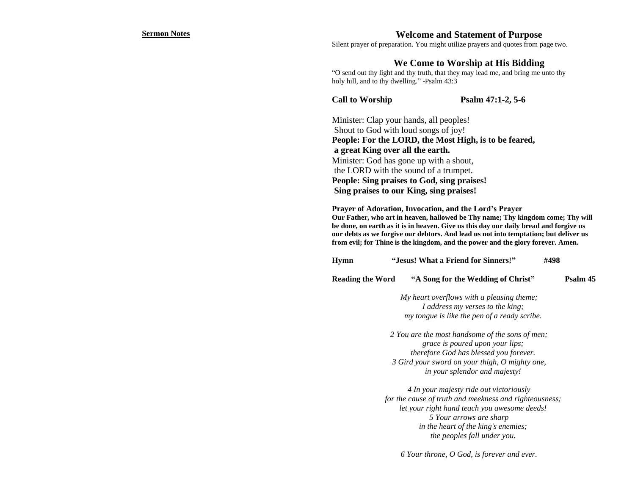#### **Sermon Notes Welcome and Statement of Purpose**

Silent prayer of preparation. You might utilize prayers and quotes from page two.

### **We Come to Worship at His Bidding**

"O send out thy light and thy truth, that they may lead me, and bring me unto thy holy hill, and to thy dwelling." -Psalm 43:3

**Call to Worship Psalm 47:1-2, 5-6** 

Minister: Clap your hands, all peoples! Shout to God with loud songs of joy! **People: For the LORD, the Most High, is to be feared, a great King over all the earth.** Minister: God has gone up with a shout, the LORD with the sound of a trumpet. **People: Sing praises to God, sing praises! Sing praises to our King, sing praises!**

**Prayer of Adoration, Invocation, and the Lord's Prayer Our Father, who art in heaven, hallowed be Thy name; Thy kingdom come; Thy will be done, on earth as it is in heaven. Give us this day our daily bread and forgive us our debts as we forgive our debtors. And lead us not into temptation; but deliver us from evil; for Thine is the kingdom, and the power and the glory forever. Amen.**

| Hymn | "Jesus! What a Friend for Sinners!" | #498 |  |
|------|-------------------------------------|------|--|
|------|-------------------------------------|------|--|

**Reading the Word "A Song for the Wedding of Christ" Psalm 45**

*My heart overflows with a pleasing theme; I address my verses to the king; my tongue is like the pen of a ready scribe.*

*2 You are the most handsome of the sons of men; grace is poured upon your lips; therefore God has blessed you forever. 3 Gird your sword on your thigh, O mighty one, in your splendor and majesty!*

*4 In your majesty ride out victoriously for the cause of truth and meekness and righteousness; let your right hand teach you awesome deeds! 5 Your arrows are sharp in the heart of the king's enemies; the peoples fall under you.*

*6 Your throne, O God, is forever and ever.*